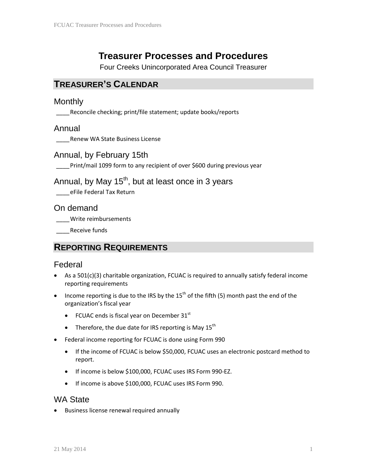# **Treasurer Processes and Procedures**

Four Creeks Unincorporated Area Council Treasurer

## **TREASURER'S CALENDAR**

#### **Monthly**

\_\_\_\_Reconcile checking; print/file statement; update books/reports

#### Annual

\_\_\_\_Renew WA State Business License

#### Annual, by February 15th

Print/mail 1099 form to any recipient of over \$600 during previous year

## Annual, by May  $15<sup>th</sup>$ , but at least once in 3 years

\_\_\_\_eFile Federal Tax Return

On demand

\_\_\_\_Write reimbursements

Receive funds

### **REPORTING REQUIREMENTS**

### Federal

- As a 501(c)(3) charitable organization, FCUAC is required to annually satisfy federal income reporting requirements
- Income reporting is due to the IRS by the  $15<sup>th</sup>$  of the fifth (5) month past the end of the organization's fiscal year
	- FCUAC ends is fiscal year on December  $31<sup>st</sup>$
	- Therefore, the due date for IRS reporting is May  $15^{th}$
- Federal income reporting for FCUAC is done using Form 990
	- If the income of FCUAC is below \$50,000, FCUAC uses an electronic postcard method to report.
	- If income is below \$100,000, FCUAC uses IRS Form 990-EZ.
	- If income is above \$100,000, FCUAC uses IRS Form 990.

### WA State

• Business license renewal required annually